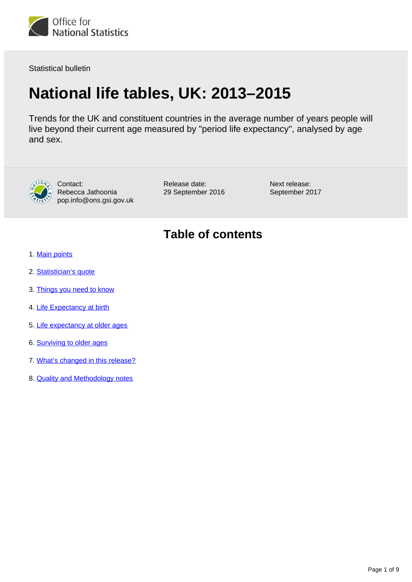

Statistical bulletin

# **National life tables, UK: 2013–2015**

Trends for the UK and constituent countries in the average number of years people will live beyond their current age measured by "period life expectancy", analysed by age and sex.



Contact: Rebecca Jathoonia pop.info@ons.gsi.gov.uk Release date: 29 September 2016 Next release: September 2017

## **Table of contents**

- 1. [Main points](#page-1-0)
- 2. [Statistician's quote](#page-1-1)
- 3. [Things you need to know](#page-1-2)
- 4. [Life Expectancy at birth](#page-1-3)
- 5. [Life expectancy at older ages](#page-3-0)
- 6. [Surviving to older ages](#page-6-0)
- 7. [What's changed in this release?](#page-7-0)
- 8. **[Quality and Methodology notes](#page-8-0)**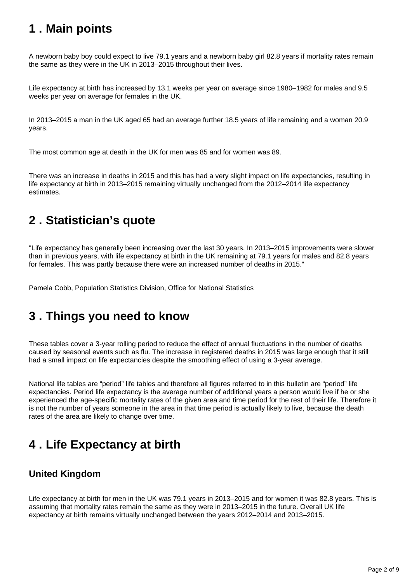## <span id="page-1-0"></span>**1 . Main points**

A newborn baby boy could expect to live 79.1 years and a newborn baby girl 82.8 years if mortality rates remain the same as they were in the UK in 2013–2015 throughout their lives.

Life expectancy at birth has increased by 13.1 weeks per year on average since 1980–1982 for males and 9.5 weeks per year on average for females in the UK.

In 2013–2015 a man in the UK aged 65 had an average further 18.5 years of life remaining and a woman 20.9 years.

The most common age at death in the UK for men was 85 and for women was 89.

There was an increase in deaths in 2015 and this has had a very slight impact on life expectancies, resulting in life expectancy at birth in 2013–2015 remaining virtually unchanged from the 2012–2014 life expectancy estimates.

## <span id="page-1-1"></span>**2 . Statistician's quote**

"Life expectancy has generally been increasing over the last 30 years. In 2013–2015 improvements were slower than in previous years, with life expectancy at birth in the UK remaining at 79.1 years for males and 82.8 years for females. This was partly because there were an increased number of deaths in 2015."

Pamela Cobb, Population Statistics Division, Office for National Statistics

## <span id="page-1-2"></span>**3 . Things you need to know**

These tables cover a 3-year rolling period to reduce the effect of annual fluctuations in the number of deaths caused by seasonal events such as flu. The increase in registered deaths in 2015 was large enough that it still had a small impact on life expectancies despite the smoothing effect of using a 3-year average.

National life tables are "period" life tables and therefore all figures referred to in this bulletin are "period" life expectancies. Period life expectancy is the average number of additional years a person would live if he or she experienced the age-specific mortality rates of the given area and time period for the rest of their life. Therefore it is not the number of years someone in the area in that time period is actually likely to live, because the death rates of the area are likely to change over time.

## <span id="page-1-3"></span>**4 . Life Expectancy at birth**

### **United Kingdom**

Life expectancy at birth for men in the UK was 79.1 years in 2013–2015 and for women it was 82.8 years. This is assuming that mortality rates remain the same as they were in 2013–2015 in the future. Overall UK life expectancy at birth remains virtually unchanged between the years 2012–2014 and 2013–2015.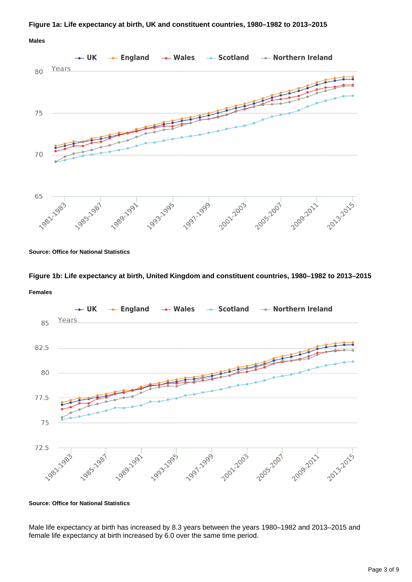#### **Figure 1a: Life expectancy at birth, UK and constituent countries, 1980–1982 to 2013–2015**

**Males**



**Source: Office for National Statistics**

### **Figure 1b: Life expectancy at birth, United Kingdom and constituent countries, 1980–1982 to 2013–2015 Females**



**Source: Office for National Statistics**

Male life expectancy at birth has increased by 8.3 years between the years 1980–1982 and 2013–2015 and female life expectancy at birth increased by 6.0 over the same time period.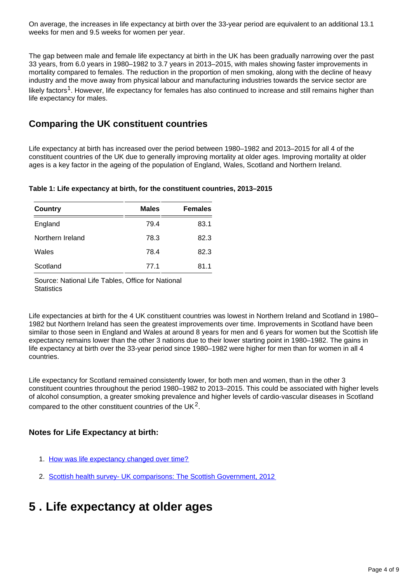On average, the increases in life expectancy at birth over the 33-year period are equivalent to an additional 13.1 weeks for men and 9.5 weeks for women per year.

The gap between male and female life expectancy at birth in the UK has been gradually narrowing over the past 33 years, from 6.0 years in 1980–1982 to 3.7 years in 2013–2015, with males showing faster improvements in mortality compared to females. The reduction in the proportion of men smoking, along with the decline of heavy industry and the move away from physical labour and manufacturing industries towards the service sector are likely factors<sup>1</sup>. However, life expectancy for females has also continued to increase and still remains higher than life expectancy for males.

### **Comparing the UK constituent countries**

Life expectancy at birth has increased over the period between 1980–1982 and 2013–2015 for all 4 of the constituent countries of the UK due to generally improving mortality at older ages. Improving mortality at older ages is a key factor in the ageing of the population of England, Wales, Scotland and Northern Ireland.

#### **Table 1: Life expectancy at birth, for the constituent countries, 2013–2015**

| <b>Country</b>   | <b>Males</b> | <b>Females</b> |
|------------------|--------------|----------------|
| England          | 79.4         | 83.1           |
| Northern Ireland | 78.3         | 82.3           |
| Wales            | 78.4         | 82.3           |
| Scotland         | 77.1         | 81.1           |

Source: National Life Tables, Office for National **Statistics** 

Life expectancies at birth for the 4 UK constituent countries was lowest in Northern Ireland and Scotland in 1980– 1982 but Northern Ireland has seen the greatest improvements over time. Improvements in Scotland have been similar to those seen in England and Wales at around 8 years for men and 6 years for women but the Scottish life expectancy remains lower than the other 3 nations due to their lower starting point in 1980–1982. The gains in life expectancy at birth over the 33-year period since 1980–1982 were higher for men than for women in all 4 countries.

Life expectancy for Scotland remained consistently lower, for both men and women, than in the other 3 constituent countries throughout the period 1980–1982 to 2013–2015. This could be associated with higher levels of alcohol consumption, a greater smoking prevalence and higher levels of cardio-vascular diseases in Scotland compared to the other constituent countries of the UK<sup>2</sup>.

#### **Notes for Life Expectancy at birth:**

- 1. [How was life expectancy changed over time?](http://visual.ons.gov.uk/how-has-life-expectancy-changed-over-time/)
- 2. [Scottish health survey- UK comparisons: The Scottish Government, 2012](http://news.scotland.gov.uk/News/The-Scottish-Health-Survey-2012-46f.aspx)

## <span id="page-3-0"></span>**5 . Life expectancy at older ages**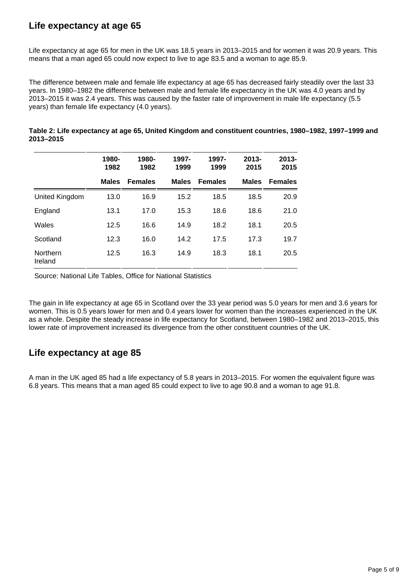### **Life expectancy at age 65**

Life expectancy at age 65 for men in the UK was 18.5 years in 2013–2015 and for women it was 20.9 years. This means that a man aged 65 could now expect to live to age 83.5 and a woman to age 85.9.

The difference between male and female life expectancy at age 65 has decreased fairly steadily over the last 33 years. In 1980–1982 the difference between male and female life expectancy in the UK was 4.0 years and by 2013–2015 it was 2.4 years. This was caused by the faster rate of improvement in male life expectancy (5.5 years) than female life expectancy (4.0 years).

|                     | 1980-<br>1982 | 1980-<br>1982  | 1997-<br>1999 | 1997-<br>1999  | $2013 -$<br>2015 | $2013 -$<br>2015 |
|---------------------|---------------|----------------|---------------|----------------|------------------|------------------|
|                     | <b>Males</b>  | <b>Females</b> | <b>Males</b>  | <b>Females</b> | <b>Males</b>     | <b>Females</b>   |
| United Kingdom      | 13.0          | 16.9           | 15.2          | 18.5           | 18.5             | 20.9             |
| England             | 13.1          | 17.0           | 15.3          | 18.6           | 18.6             | 21.0             |
| Wales               | 12.5          | 16.6           | 14.9          | 18.2           | 18.1             | 20.5             |
| Scotland            | 12.3          | 16.0           | 14.2          | 17.5           | 17.3             | 19.7             |
| Northern<br>Ireland | 12.5          | 16.3           | 14.9          | 18.3           | 18.1             | 20.5             |

| Table 2: Life expectancy at age 65, United Kingdom and constituent countries, 1980–1982, 1997–1999 and |  |  |
|--------------------------------------------------------------------------------------------------------|--|--|
| 2013-2015                                                                                              |  |  |

Source: National Life Tables, Office for National Statistics

The gain in life expectancy at age 65 in Scotland over the 33 year period was 5.0 years for men and 3.6 years for women. This is 0.5 years lower for men and 0.4 years lower for women than the increases experienced in the UK as a whole. Despite the steady increase in life expectancy for Scotland, between 1980–1982 and 2013–2015, this lower rate of improvement increased its divergence from the other constituent countries of the UK.

#### **Life expectancy at age 85**

A man in the UK aged 85 had a life expectancy of 5.8 years in 2013–2015. For women the equivalent figure was 6.8 years. This means that a man aged 85 could expect to live to age 90.8 and a woman to age 91.8.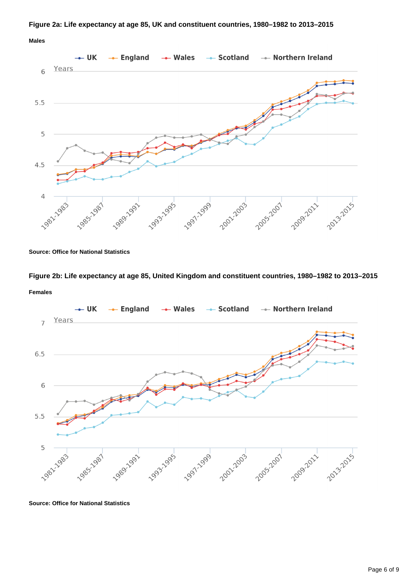#### **Figure 2a: Life expectancy at age 85, UK and constituent countries, 1980–1982 to 2013–2015**

**Males**



**Source: Office for National Statistics**

**Figure 2b: Life expectancy at age 85, United Kingdom and constituent countries, 1980–1982 to 2013–2015 Females**



**Source: Office for National Statistics**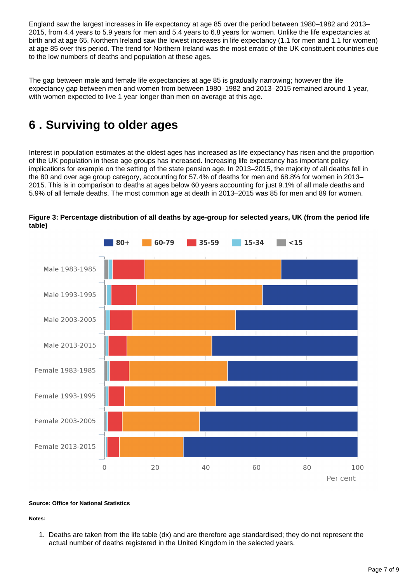England saw the largest increases in life expectancy at age 85 over the period between 1980–1982 and 2013– 2015, from 4.4 years to 5.9 years for men and 5.4 years to 6.8 years for women. Unlike the life expectancies at birth and at age 65, Northern Ireland saw the lowest increases in life expectancy (1.1 for men and 1.1 for women) at age 85 over this period. The trend for Northern Ireland was the most erratic of the UK constituent countries due to the low numbers of deaths and population at these ages.

The gap between male and female life expectancies at age 85 is gradually narrowing; however the life expectancy gap between men and women from between 1980–1982 and 2013–2015 remained around 1 year, with women expected to live 1 year longer than men on average at this age.

## <span id="page-6-0"></span>**6 . Surviving to older ages**

Interest in population estimates at the oldest ages has increased as life expectancy has risen and the proportion of the UK population in these age groups has increased. Increasing life expectancy has important policy implications for example on the setting of the state pension age. In 2013–2015, the majority of all deaths fell in the 80 and over age group category, accounting for 57.4% of deaths for men and 68.8% for women in 2013– 2015. This is in comparison to deaths at ages below 60 years accounting for just 9.1% of all male deaths and 5.9% of all female deaths. The most common age at death in 2013–2015 was 85 for men and 89 for women.



**Figure 3: Percentage distribution of all deaths by age-group for selected years, UK (from the period life table)**

#### **Source: Office for National Statistics**

#### **Notes:**

1. Deaths are taken from the life table (dx) and are therefore age standardised; they do not represent the actual number of deaths registered in the United Kingdom in the selected years.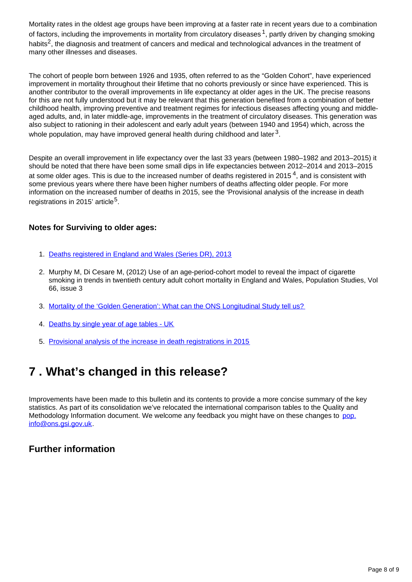Mortality rates in the oldest age groups have been improving at a faster rate in recent years due to a combination of factors, including the improvements in mortality from circulatory diseases  $1$ , partly driven by changing smoking habits<sup>2</sup>, the diagnosis and treatment of cancers and medical and technological advances in the treatment of many other illnesses and diseases.

The cohort of people born between 1926 and 1935, often referred to as the "Golden Cohort", have experienced improvement in mortality throughout their lifetime that no cohorts previously or since have experienced. This is another contributor to the overall improvements in life expectancy at older ages in the UK. The precise reasons for this are not fully understood but it may be relevant that this generation benefited from a combination of better childhood health, improving preventive and treatment regimes for infectious diseases affecting young and middleaged adults, and, in later middle-age, improvements in the treatment of circulatory diseases. This generation was also subject to rationing in their adolescent and early adult years (between 1940 and 1954) which, across the whole population, may have improved general health during childhood and later  $^3$ .

Despite an overall improvement in life expectancy over the last 33 years (between 1980–1982 and 2013–2015) it should be noted that there have been some small dips in life expectancies between 2012–2014 and 2013–2015 at some older ages. This is due to the increased number of deaths registered in 2015<sup>4</sup>, and is consistent with some previous years where there have been higher numbers of deaths affecting older people. For more information on the increased number of deaths in 2015, see the 'Provisional analysis of the increase in death registrations in 2015' article<sup>5</sup>.

#### **Notes for Surviving to older ages:**

- 1. [Deaths registered in England and Wales \(Series DR\), 2013](http://www.ons.gov.uk/ons/rel/vsob1/mortality-statistics--deaths-registered-in-england-and-wales--series-dr-/2013/index.html)
- 2. Murphy M, Di Cesare M, (2012) Use of an age-period-cohort model to reveal the impact of cigarette smoking in trends in twentieth century adult cohort mortality in England and Wales, Population Studies, Vol 66, issue 3
- 3. [Mortality of the 'Golden Generation': What can the ONS Longitudinal Study tell us?](http://calls.ac.uk/wp-content/uploads/14poptrends145goldrin_tcm77-230932.pdf)
- 4. [Deaths by single year of age tables UK](https://www.ons.gov.uk/file?uri=/peoplepopulationandcommunity/birthsdeathsandmarriages/deaths/datasets/deathregistrationssummarytablesenglandandwalesdeathsbysingleyearofagetables/2015/syoa19742015publication.xls)
- 5. [Provisional analysis of the increase in death registrations in 2015](https://www.ons.gov.uk/releases/provisionalanalysisof2015deathregistrationsinenglandandwales)

## <span id="page-7-0"></span>**7 . What's changed in this release?**

Improvements have been made to this bulletin and its contents to provide a more concise summary of the key statistics. As part of its consolidation we've relocated the international comparison tables to the Quality and Methodology Information document. We welcome any feedback you might have on these changes to pop. info@ons.gsi.gov.uk.

#### **Further information**